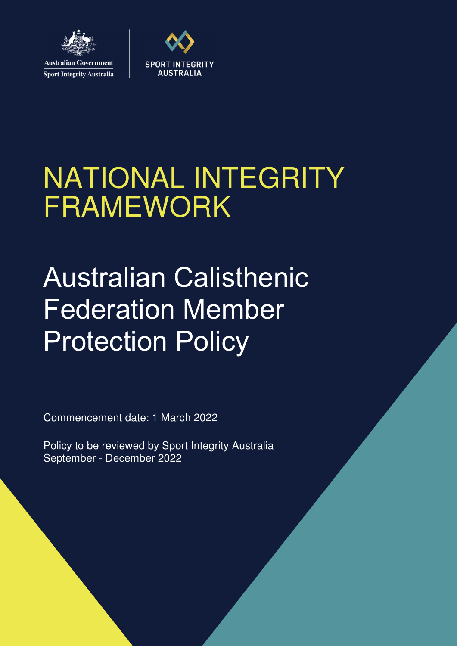

**Sport Integrity Australia** 



# NATIONAL INTEGRITY FRAMEWORK

# Australian Calisthenic Federation Member Protection Policy

Commencement date: 1 March 2022

Policy to be reviewed by Sport Integrity Australia September - December 2022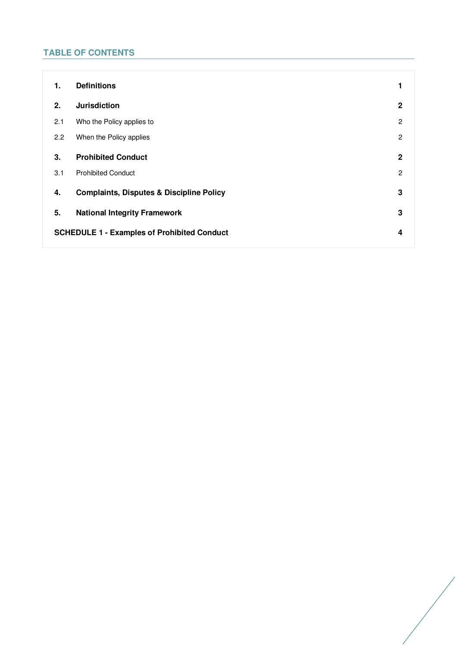# **TABLE OF CONTENTS**

| 1.                                                 | <b>Definitions</b>                                  | 1              |
|----------------------------------------------------|-----------------------------------------------------|----------------|
| 2.                                                 | <b>Jurisdiction</b>                                 | $\mathbf 2$    |
| 2.1                                                | Who the Policy applies to                           | $\overline{2}$ |
| 2.2                                                | When the Policy applies                             | $\overline{2}$ |
| 3.                                                 | <b>Prohibited Conduct</b>                           | $\mathbf 2$    |
| 3.1                                                | <b>Prohibited Conduct</b>                           | $\overline{c}$ |
| 4.                                                 | <b>Complaints, Disputes &amp; Discipline Policy</b> | 3              |
| 5.                                                 | <b>National Integrity Framework</b>                 | 3              |
| <b>SCHEDULE 1 - Examples of Prohibited Conduct</b> |                                                     | 4              |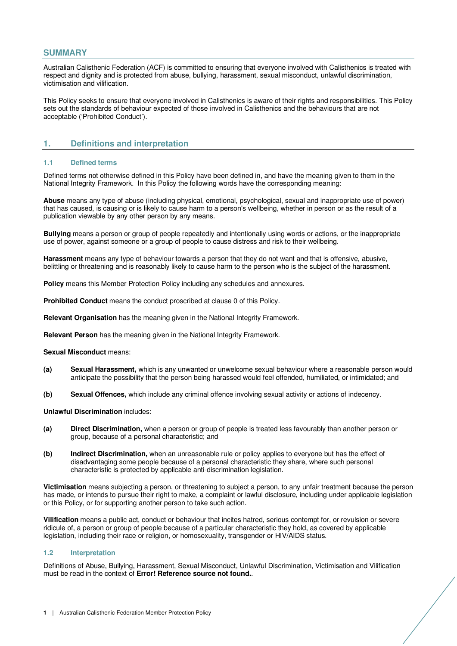## **SUMMARY**

Australian Calisthenic Federation (ACF) is committed to ensuring that everyone involved with Calisthenics is treated with respect and dignity and is protected from abuse, bullying, harassment, sexual misconduct, unlawful discrimination, victimisation and vilification.

This Policy seeks to ensure that everyone involved in Calisthenics is aware of their rights and responsibilities. This Policy sets out the standards of behaviour expected of those involved in Calisthenics and the behaviours that are not acceptable ('Prohibited Conduct').

## **1. Definitions and interpretation**

#### **1.1 Defined terms**

Defined terms not otherwise defined in this Policy have been defined in, and have the meaning given to them in the National Integrity Framework. In this Policy the following words have the corresponding meaning:

**Abuse** means any type of abuse (including physical, emotional, psychological, sexual and inappropriate use of power) that has caused, is causing or is likely to cause harm to a person's wellbeing, whether in person or as the result of a publication viewable by any other person by any means.

**Bullying** means a person or group of people repeatedly and intentionally using words or actions, or the inappropriate use of power, against someone or a group of people to cause distress and risk to their wellbeing.

**Harassment** means any type of behaviour towards a person that they do not want and that is offensive, abusive, belittling or threatening and is reasonably likely to cause harm to the person who is the subject of the harassment.

**Policy** means this Member Protection Policy including any schedules and annexures.

**Prohibited Conduct** means the conduct proscribed at clause 0 of this Policy.

**Relevant Organisation** has the meaning given in the National Integrity Framework.

**Relevant Person** has the meaning given in the National Integrity Framework.

#### **Sexual Misconduct** means:

- **(a) Sexual Harassment,** which is any unwanted or unwelcome sexual behaviour where a reasonable person would anticipate the possibility that the person being harassed would feel offended, humiliated, or intimidated; and
- **(b) Sexual Offences,** which include any criminal offence involving sexual activity or actions of indecency.

### **Unlawful Discrimination** includes:

- **(a) Direct Discrimination,** when a person or group of people is treated less favourably than another person or group, because of a personal characteristic; and
- **(b) Indirect Discrimination,** when an unreasonable rule or policy applies to everyone but has the effect of disadvantaging some people because of a personal characteristic they share, where such personal characteristic is protected by applicable anti-discrimination legislation.

**Victimisation** means subjecting a person, or threatening to subject a person, to any unfair treatment because the person has made, or intends to pursue their right to make, a complaint or lawful disclosure, including under applicable legislation or this Policy, or for supporting another person to take such action.

**Vilification** means a public act, conduct or behaviour that incites hatred, serious contempt for, or revulsion or severe ridicule of, a person or group of people because of a particular characteristic they hold, as covered by applicable legislation, including their race or religion, or homosexuality, transgender or HIV/AIDS status.

### **1.2 Interpretation**

Definitions of Abuse, Bullying, Harassment, Sexual Misconduct, Unlawful Discrimination, Victimisation and Vilification must be read in the context of **Error! Reference source not found.**.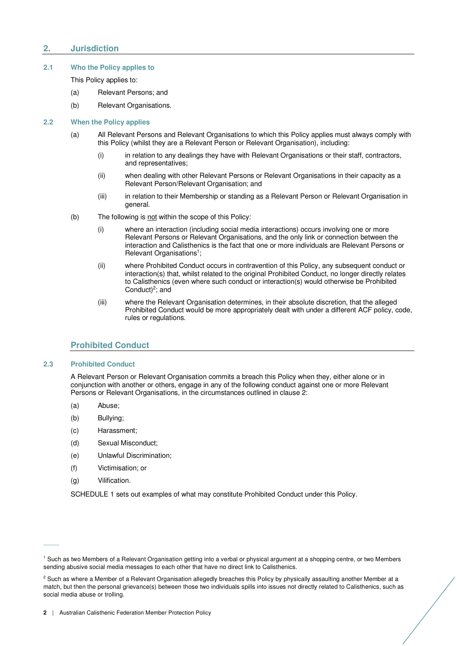## **2. Jurisdiction**

## **2.1 Who the Policy applies to**

This Policy applies to:

- (a) Relevant Persons; and
- (b) Relevant Organisations.

### **2.2 When the Policy applies**

- (a) All Relevant Persons and Relevant Organisations to which this Policy applies must always comply with this Policy (whilst they are a Relevant Person or Relevant Organisation), including:
	- (i) in relation to any dealings they have with Relevant Organisations or their staff, contractors, and representatives;
	- (ii) when dealing with other Relevant Persons or Relevant Organisations in their capacity as a Relevant Person/Relevant Organisation; and
	- (iii) in relation to their Membership or standing as a Relevant Person or Relevant Organisation in general.
- (b) The following is not within the scope of this Policy:
	- (i) where an interaction (including social media interactions) occurs involving one or more Relevant Persons or Relevant Organisations, and the only link or connection between the interaction and Calisthenics is the fact that one or more individuals are Relevant Persons or Relevant Organisations<sup>1</sup>;
	- (ii) where Prohibited Conduct occurs in contravention of this Policy, any subsequent conduct or interaction(s) that, whilst related to the original Prohibited Conduct, no longer directly relates to Calisthenics (even where such conduct or interaction(s) would otherwise be Prohibited Conduct $)^2$ ; and
	- (iii) where the Relevant Organisation determines, in their absolute discretion, that the alleged Prohibited Conduct would be more appropriately dealt with under a different ACF policy, code, rules or regulations.

## **Prohibited Conduct**

## **2.3 Prohibited Conduct**

A Relevant Person or Relevant Organisation commits a breach this Policy when they, either alone or in conjunction with another or others, engage in any of the following conduct against one or more Relevant Persons or Relevant Organisations, in the circumstances outlined in clause 2:

- (a) Abuse;
- (b) Bullying;
- (c) Harassment;
- (d) Sexual Misconduct;
- (e) Unlawful Discrimination;
- (f) Victimisation; or
- (g) Vilification.

 $\overline{\phantom{a}}$ 

SCHEDULE 1 sets out examples of what may constitute Prohibited Conduct under this Policy.

<sup>1</sup> Such as two Members of a Relevant Organisation getting into a verbal or physical argument at a shopping centre, or two Members sending abusive social media messages to each other that have no direct link to Calisthenics.

<sup>&</sup>lt;sup>2</sup> Such as where a Member of a Relevant Organisation allegedly breaches this Policy by physically assaulting another Member at a match, but then the personal grievance(s) between those two individuals spills into issues not directly related to Calisthenics, such as social media abuse or trolling.

**<sup>2</sup>** | Australian Calisthenic Federation Member Protection Policy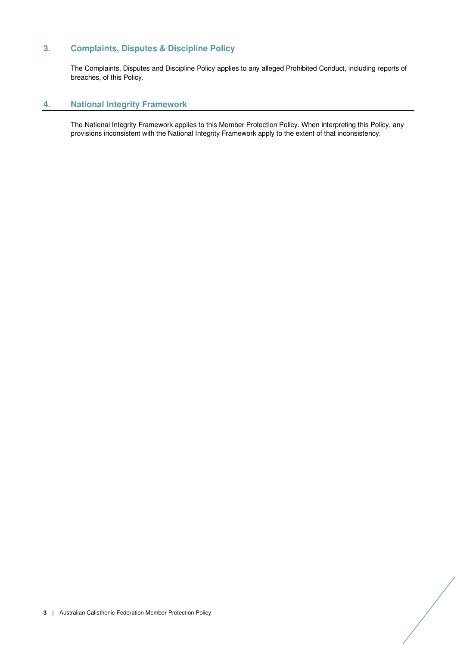## **3. Complaints, Disputes & Discipline Policy**

The Complaints, Disputes and Discipline Policy applies to any alleged Prohibited Conduct, including reports of breaches, of this Policy.

## **4. National Integrity Framework**

The National Integrity Framework applies to this Member Protection Policy. When interpreting this Policy, any provisions inconsistent with the National Integrity Framework apply to the extent of that inconsistency.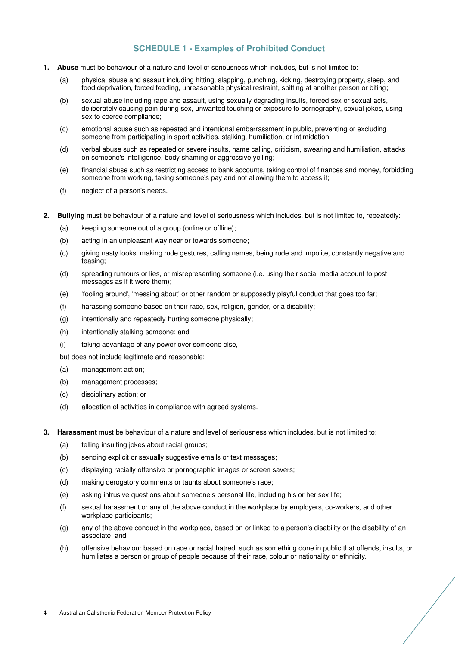## **SCHEDULE 1 - Examples of Prohibited Conduct**

- **1. Abuse** must be behaviour of a nature and level of seriousness which includes, but is not limited to:
	- (a) physical abuse and assault including hitting, slapping, punching, kicking, destroying property, sleep, and food deprivation, forced feeding, unreasonable physical restraint, spitting at another person or biting;
	- (b) sexual abuse including rape and assault, using sexually degrading insults, forced sex or sexual acts, deliberately causing pain during sex, unwanted touching or exposure to pornography, sexual jokes, using sex to coerce compliance;
	- (c) emotional abuse such as repeated and intentional embarrassment in public, preventing or excluding someone from participating in sport activities, stalking, humiliation, or intimidation;
	- (d) verbal abuse such as repeated or severe insults, name calling, criticism, swearing and humiliation, attacks on someone's intelligence, body shaming or aggressive yelling;
	- (e) financial abuse such as restricting access to bank accounts, taking control of finances and money, forbidding someone from working, taking someone's pay and not allowing them to access it;
	- (f) neglect of a person's needs.
- **2. Bullying** must be behaviour of a nature and level of seriousness which includes, but is not limited to, repeatedly:
	- (a) keeping someone out of a group (online or offline);
	- (b) acting in an unpleasant way near or towards someone;
	- (c) giving nasty looks, making rude gestures, calling names, being rude and impolite, constantly negative and teasing;
	- (d) spreading rumours or lies, or misrepresenting someone (i.e. using their social media account to post messages as if it were them);
	- (e) 'fooling around', 'messing about' or other random or supposedly playful conduct that goes too far;
	- (f) harassing someone based on their race, sex, religion, gender, or a disability;
	- (g) intentionally and repeatedly hurting someone physically;
	- (h) intentionally stalking someone; and
	- (i) taking advantage of any power over someone else,

but does not include legitimate and reasonable:

- (a) management action;
- (b) management processes;
- (c) disciplinary action; or
- (d) allocation of activities in compliance with agreed systems.
- **3. Harassment** must be behaviour of a nature and level of seriousness which includes, but is not limited to:
	- (a) telling insulting jokes about racial groups;
	- (b) sending explicit or sexually suggestive emails or text messages;
	- (c) displaying racially offensive or pornographic images or screen savers;
	- (d) making derogatory comments or taunts about someone's race;
	- (e) asking intrusive questions about someone's personal life, including his or her sex life;
	- (f) sexual harassment or any of the above conduct in the workplace by employers, co-workers, and other workplace participants;
	- (g) any of the above conduct in the workplace, based on or linked to a person's disability or the disability of an associate; and
	- (h) offensive behaviour based on race or racial hatred, such as something done in public that offends, insults, or humiliates a person or group of people because of their race, colour or nationality or ethnicity.